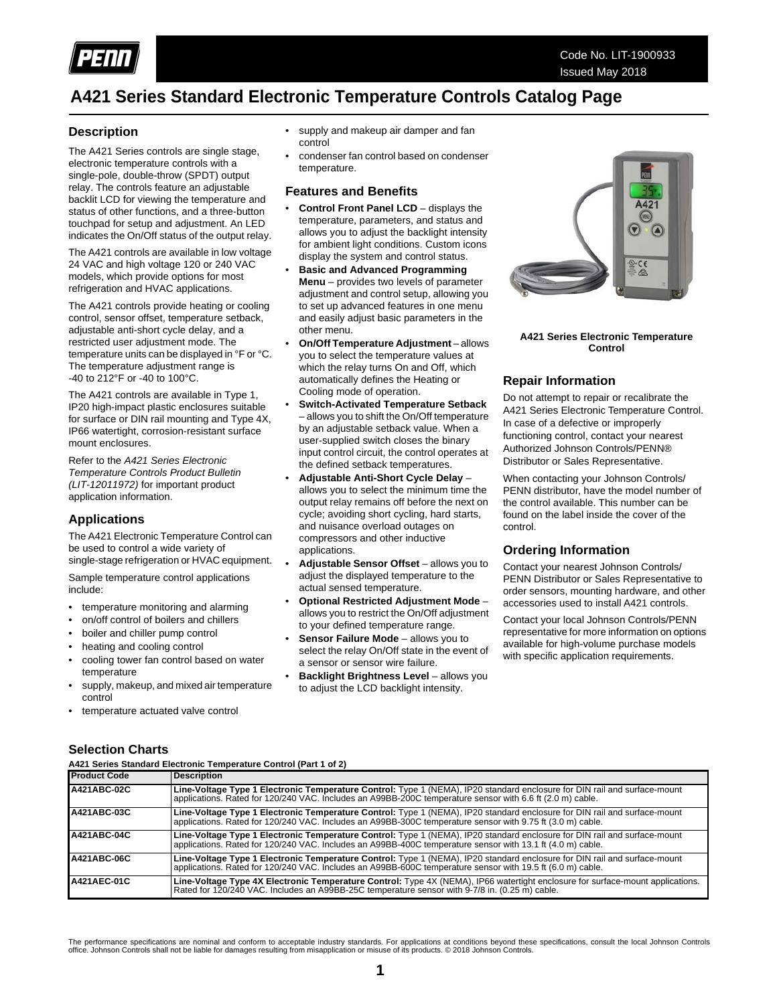

## **A421 Series Standard Electronic Temperature Controls Catalog Page**

## **Description**

The A421 Series controls are single stage, electronic temperature controls with a single-pole, double-throw (SPDT) output relay. The controls feature an adjustable backlit LCD for viewing the temperature and status of other functions, and a three-button touchpad for setup and adjustment. An LED indicates the On/Off status of the output relay.

The A421 controls are available in low voltage 24 VAC and high voltage 120 or 240 VAC models, which provide options for most refrigeration and HVAC applications.

The A421 controls provide heating or cooling control, sensor offset, temperature setback, adjustable anti-short cycle delay, and a restricted user adjustment mode. The temperature units can be displayed in °F or °C. The temperature adjustment range is -40 to 212°F or -40 to 100°C.

The A421 controls are available in Type 1, IP20 high-impact plastic enclosures suitable for surface or DIN rail mounting and Type 4X, IP66 watertight, corrosion-resistant surface mount enclosures.

Refer to the *A421 Series Electronic Temperature Controls Product Bulletin (LIT-12011972)* for important product application information.

## **Applications**

The A421 Electronic Temperature Control can be used to control a wide variety of single-stage refrigeration or HVAC equipment.

Sample temperature control applications include:

- temperature monitoring and alarming
- on/off control of boilers and chillers
- boiler and chiller pump control
- heating and cooling control
- cooling tower fan control based on water temperature
- supply, makeup, and mixed air temperature control
- temperature actuated valve control
- supply and makeup air damper and fan control
- condenser fan control based on condenser temperature.

### **Features and Benefits**

- **Control Front Panel LCD** displays the temperature, parameters, and status and allows you to adjust the backlight intensity for ambient light conditions. Custom icons display the system and control status.
- **Basic and Advanced Programming Menu** – provides two levels of parameter adjustment and control setup, allowing you to set up advanced features in one menu and easily adjust basic parameters in the other menu.
- **On/Off Temperature Adjustment** allows you to select the temperature values at which the relay turns On and Off, which automatically defines the Heating or Cooling mode of operation.
- **Switch-Activated Temperature Setback** – allows you to shift the On/Off temperature by an adjustable setback value. When a user-supplied switch closes the binary input control circuit, the control operates at the defined setback temperatures.
- **Adjustable Anti-Short Cycle Delay** allows you to select the minimum time the output relay remains off before the next on cycle; avoiding short cycling, hard starts, and nuisance overload outages on compressors and other inductive applications.
- **Adjustable Sensor Offset** allows you to adjust the displayed temperature to the actual sensed temperature.
- **Optional Restricted Adjustment Mode** allows you to restrict the On/Off adjustment to your defined temperature range.
- **Sensor Failure Mode** allows you to select the relay On/Off state in the event of a sensor or sensor wire failure.
- **Backlight Brightness Level allows you** to adjust the LCD backlight intensity.



**A421 Series Electronic Temperature Control**

## **Repair Information**

Do not attempt to repair or recalibrate the A421 Series Electronic Temperature Control. In case of a defective or improperly functioning control, contact your nearest Authorized Johnson Controls/PENN® Distributor or Sales Representative.

When contacting your Johnson Controls/ PENN distributor, have the model number of the control available. This number can be found on the label inside the cover of the control.

## **Ordering Information**

Contact your nearest Johnson Controls/ PENN Distributor or Sales Representative to order sensors, mounting hardware, and other accessories used to install A421 controls.

Contact your local Johnson Controls/PENN representative for more information on options available for high-volume purchase models with specific application requirements.

**Selection Charts**<br>A421 Series Standard Electronic Temperature Control (Part 1 of 2)

| <b>Product Code</b> | <b>Description</b>                                                                                                                                                                                                                      |
|---------------------|-----------------------------------------------------------------------------------------------------------------------------------------------------------------------------------------------------------------------------------------|
| A421ABC-02C         | Line-Voltage Type 1 Electronic Temperature Control: Type 1 (NEMA), IP20 standard enclosure for DIN rail and surface-mount<br>applications. Rated for 120/240 VAC. Includes an A99BB-200C temperature sensor with 6.6 ft (2.0 m) cable.  |
| A421ABC-03C         | Line-Voltage Type 1 Electronic Temperature Control: Type 1 (NEMA), IP20 standard enclosure for DIN rail and surface-mount<br>applications. Rated for 120/240 VAC. Includes an A99BB-300C temperature sensor with 9.75 ft (3.0 m) cable. |
| A421ABC-04C         | Line-Voltage Type 1 Electronic Temperature Control: Type 1 (NEMA), IP20 standard enclosure for DIN rail and surface-mount<br>applications. Rated for 120/240 VAC. Includes an A99BB-400C temperature sensor with 13.1 ft (4.0 m) cable. |
| A421ABC-06C         | Line-Voltage Type 1 Electronic Temperature Control: Type 1 (NEMA), IP20 standard enclosure for DIN rail and surface-mount<br>applications. Rated for 120/240 VAC. Includes an A99BB-600C temperature sensor with 19.5 ft (6.0 m) cable. |
| A421AEC-01C         | Line-Voltage Type 4X Electronic Temperature Control: Type 4X (NEMA), IP66 watertight enclosure for surface-mount applications.<br>Rated for 120/240 VAC. Includes an A99BB-25C temperature sensor with 9-7/8 in. (0.25 m) cable.        |

The performance specifications are nominal and conform to acceptable industry standards. For applications at conditions beyond these specifications, consult the local Johnson Controls<br>office. Johnson Controls shall not be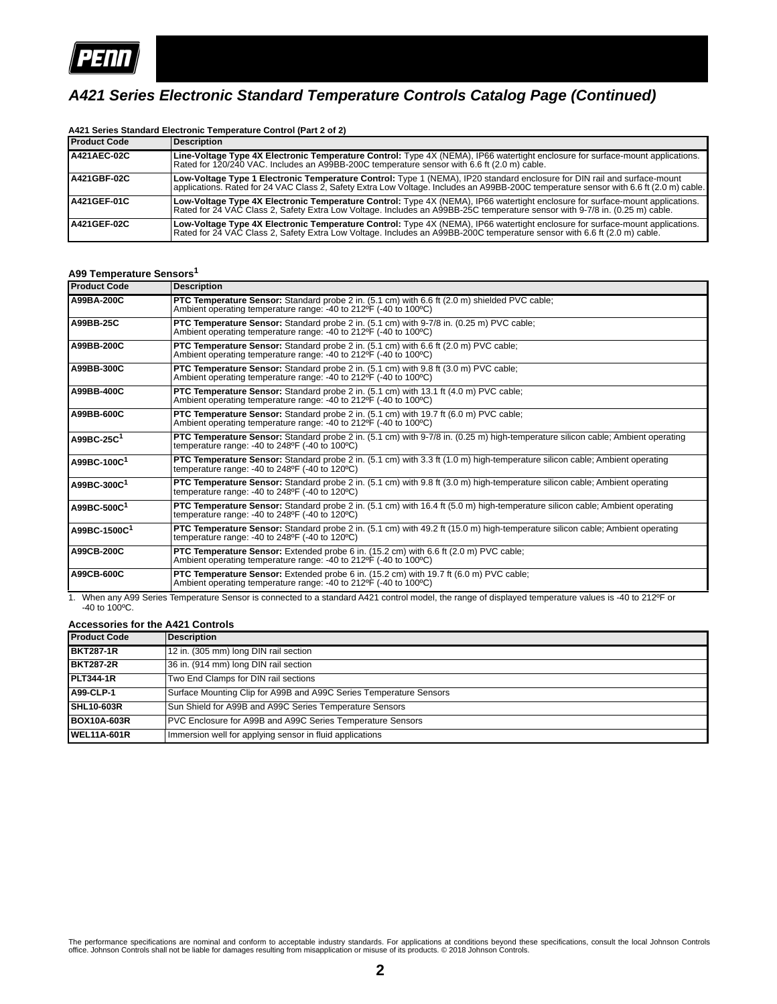

## *A421 Series Electronic Standard Temperature Controls Catalog Page (Continued)*

| <b>Product Code</b> | Description                                                                                                                                                                                                                                                        |
|---------------------|--------------------------------------------------------------------------------------------------------------------------------------------------------------------------------------------------------------------------------------------------------------------|
| <b>A421AEC-02C</b>  | Line-Voltage Type 4X Electronic Temperature Control: Type 4X (NEMA), IP66 watertight enclosure for surface-mount applications.<br>Rated for 120/240 VAC. Includes an A99BB-200C temperature sensor with 6.6 ft (2.0 m) cable.                                      |
| <b>A421GBF-02C</b>  | Low-Voltage Type 1 Electronic Temperature Control: Type 1 (NEMA), IP20 standard enclosure for DIN rail and surface-mount<br>applications. Rated for 24 VAC Class 2, Safety Extra Low Voltage. Includes an A99BB-200C temperature sensor with 6.6 ft (2.0 m) cable. |
| <b>A421GEF-01C</b>  | Low-Voltage Type 4X Electronic Temperature Control: Type 4X (NEMA), IP66 watertight enclosure for surface-mount applications.<br>Rated for 24 VAC Class 2, Safety Extra Low Voltage. Includes an A99BB-25C temperature sensor with 9-7/8 in. (0.25 m) cable.       |
| <b>IA421GEF-02C</b> | Low-Voltage Type 4X Electronic Temperature Control: Type 4X (NEMA), IP66 watertight enclosure for surface-mount applications.<br>Rated for 24 VAC Class 2, Safety Extra Low Voltage. Includes an A99BB-200C temperature sensor with 6.6 ft (2.0 m) cable.          |

#### **A421 Series Standard Electronic Temperature Control (Part 2 of 2)**

## **A99 Temperature Sensors<sup>1</sup>**

| <b>Product Code</b>     | <b>Description</b>                                                                                                                                                                                        |
|-------------------------|-----------------------------------------------------------------------------------------------------------------------------------------------------------------------------------------------------------|
| A99BA-200C              | PTC Temperature Sensor: Standard probe 2 in. (5.1 cm) with 6.6 ft (2.0 m) shielded PVC cable;<br>Ambient operating temperature range: -40 to 212°F (-40 to 100°C)                                         |
| A99BB-25C               | <b>PTC Temperature Sensor:</b> Standard probe 2 in. (5.1 cm) with 9-7/8 in. (0.25 m) PVC cable;<br>Ambient operating temperature range: -40 to 212°F (-40 to 100°C)                                       |
| A99BB-200C              | <b>PTC Temperature Sensor:</b> Standard probe 2 in. (5.1 cm) with 6.6 ft (2.0 m) PVC cable;<br>Ambient operating temperature range: -40 to 212 °F (-40 to 100 °C)                                         |
| A99BB-300C              | <b>PTC Temperature Sensor:</b> Standard probe 2 in. (5.1 cm) with 9.8 ft (3.0 m) PVC cable;<br>Ambient operating temperature range: -40 to 212°F (-40 to 100°C)                                           |
| A99BB-400C              | <b>PTC Temperature Sensor:</b> Standard probe 2 in. (5.1 cm) with 13.1 ft (4.0 m) PVC cable;<br>Ambient operating temperature range: -40 to 212 F (-40 to 100 °C)                                         |
| A99BB-600C              | <b>PTC Temperature Sensor:</b> Standard probe 2 in. (5.1 cm) with 19.7 ft (6.0 m) PVC cable;<br>Ambient operating temperature range: -40 to 212°F (-40 to 100°C)                                          |
| A99BC-25C <sup>1</sup>  | PTC Temperature Sensor: Standard probe 2 in. (5.1 cm) with 9-7/8 in. (0.25 m) high-temperature silicon cable; Ambient operating<br>temperature range: -40 to 248°F (-40 to 100°C)                         |
| A99BC-100C <sup>1</sup> | PTC Temperature Sensor: Standard probe 2 in. (5.1 cm) with 3.3 ft (1.0 m) high-temperature silicon cable; Ambient operating<br>temperature range: -40 to $248^{\circ}F$ (-40 to $120^{\circ}C$ )          |
| A99BC-300C1             | PTC Temperature Sensor: Standard probe 2 in. (5.1 cm) with 9.8 ft (3.0 m) high-temperature silicon cable; Ambient operating<br>temperature range: -40 to 248°F (-40 to 120°C)                             |
| A99BC-500C <sup>1</sup> | PTC Temperature Sensor: Standard probe 2 in. (5.1 cm) with 16.4 ft (5.0 m) high-temperature silicon cable; Ambient operating<br>temperature range: -40 to $248^{\circ}F$ (-40 to $120^{\circ}C$ )         |
| A99BC-1500C1            | <b>PTC Temperature Sensor:</b> Standard probe 2 in. (5.1 cm) with 49.2 ft (15.0 m) high-temperature silicon cable; Ambient operating<br>temperature range: -40 to $248^{\circ}F$ (-40 to $120^{\circ}C$ ) |
| A99CB-200C              | <b>PTC Temperature Sensor:</b> Extended probe 6 in. (15.2 cm) with 6.6 ft (2.0 m) PVC cable;<br>Ambient operating temperature range: -40 to 212°F (-40 to 100°C)                                          |
| A99CB-600C              | <b>PTC Temperature Sensor:</b> Extended probe 6 in. (15.2 cm) with 19.7 ft (6.0 m) PVC cable;<br>Ambient operating temperature range: -40 to 212°F (-40 to 100°C)                                         |

1. When any A99 Series Temperature Sensor is connected to a standard A421 control model, the range of displayed temperature values is -40 to 212ºF or -40 to 100ºC.

#### **Accessories for the A421 Controls**

| <b>Product Code</b> | Description                                                        |
|---------------------|--------------------------------------------------------------------|
| <b>BKT287-1R</b>    | 12 in. (305 mm) long DIN rail section                              |
| <b>BKT287-2R</b>    | 36 in. (914 mm) long DIN rail section                              |
| <b>PLT344-1R</b>    | Two End Clamps for DIN rail sections                               |
| <b>A99-CLP-1</b>    | Surface Mounting Clip for A99B and A99C Series Temperature Sensors |
| <b>SHL10-603R</b>   | Sun Shield for A99B and A99C Series Temperature Sensors            |
| <b>BOX10A-603R</b>  | PVC Enclosure for A99B and A99C Series Temperature Sensors         |
| <b>IWEL11A-601R</b> | Immersion well for applying sensor in fluid applications           |

The performance specifications are nominal and conform to acceptable industry standards. For applications at conditions beyond these specifications, consult the local Johnson Controls<br>office. Johnson Controls shall not be